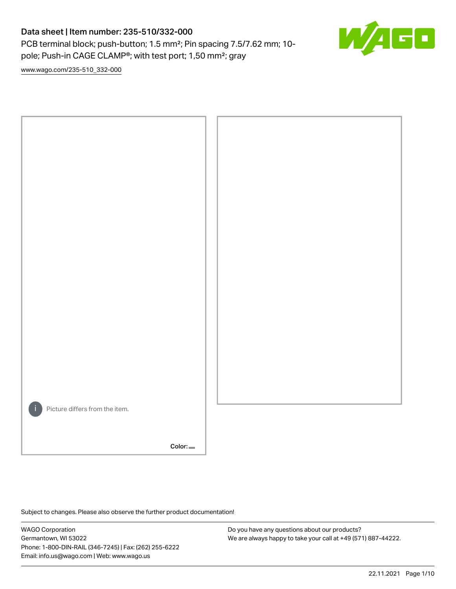PCB terminal block; push-button; 1.5 mm²; Pin spacing 7.5/7.62 mm; 10 pole; Push-in CAGE CLAMP®; with test port; 1,50 mm²; gray



[www.wago.com/235-510\\_332-000](http://www.wago.com/235-510_332-000)



Subject to changes. Please also observe the further product documentation!

WAGO Corporation Germantown, WI 53022 Phone: 1-800-DIN-RAIL (346-7245) | Fax: (262) 255-6222 Email: info.us@wago.com | Web: www.wago.us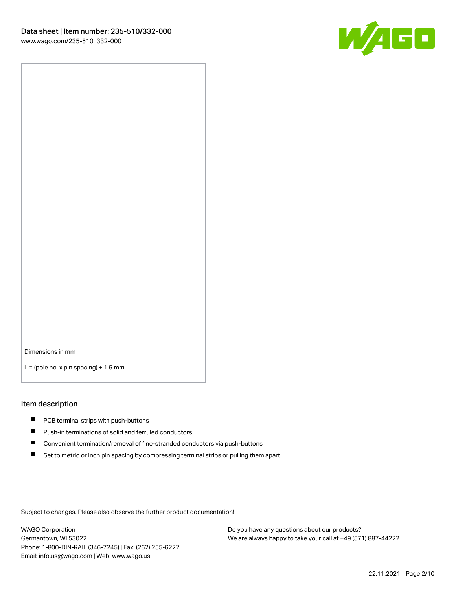

Dimensions in mm

 $L =$  (pole no. x pin spacing) + 1.5 mm

#### Item description

- **PCB terminal strips with push-buttons**
- **Push-in terminations of solid and ferruled conductors**
- $\blacksquare$ Convenient termination/removal of fine-stranded conductors via push-buttons
- Set to metric or inch pin spacing by compressing terminal strips or pulling them apart

Subject to changes. Please also observe the further product documentation!

WAGO Corporation Germantown, WI 53022 Phone: 1-800-DIN-RAIL (346-7245) | Fax: (262) 255-6222 Email: info.us@wago.com | Web: www.wago.us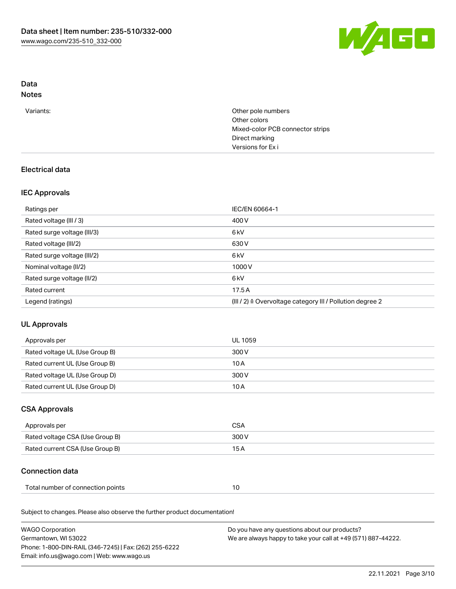

# Data

# Notes

| Variants: | Other pole numbers<br>Other colors |
|-----------|------------------------------------|
|           | Mixed-color PCB connector strips   |
|           | Direct marking                     |
|           | Versions for Exi                   |
|           |                                    |

# Electrical data

### IEC Approvals

| Ratings per                 | IEC/EN 60664-1                                            |
|-----------------------------|-----------------------------------------------------------|
| Rated voltage (III / 3)     | 400 V                                                     |
| Rated surge voltage (III/3) | 6 <sub>k</sub> V                                          |
| Rated voltage (III/2)       | 630 V                                                     |
| Rated surge voltage (III/2) | 6 <sub>kV</sub>                                           |
| Nominal voltage (II/2)      | 1000V                                                     |
| Rated surge voltage (II/2)  | 6 <sub>kV</sub>                                           |
| Rated current               | 17.5A                                                     |
| Legend (ratings)            | (III / 2) ≙ Overvoltage category III / Pollution degree 2 |

# UL Approvals

| Approvals per                  | UL 1059 |
|--------------------------------|---------|
| Rated voltage UL (Use Group B) | 300 V   |
| Rated current UL (Use Group B) | 10 A    |
| Rated voltage UL (Use Group D) | 300 V   |
| Rated current UL (Use Group D) | 10 A    |

# CSA Approvals

| Approvals per                   | CSA   |
|---------------------------------|-------|
| Rated voltage CSA (Use Group B) | 300 V |
| Rated current CSA (Use Group B) | 15 A  |

# Connection data

| Total number of connection points |  |  |
|-----------------------------------|--|--|
|-----------------------------------|--|--|

Subject to changes. Please also observe the further product documentation!

| <b>WAGO Corporation</b>                                | Do you have any questions about our products?                 |
|--------------------------------------------------------|---------------------------------------------------------------|
| Germantown, WI 53022                                   | We are always happy to take your call at +49 (571) 887-44222. |
| Phone: 1-800-DIN-RAIL (346-7245)   Fax: (262) 255-6222 |                                                               |
| Email: info.us@wago.com   Web: www.wago.us             |                                                               |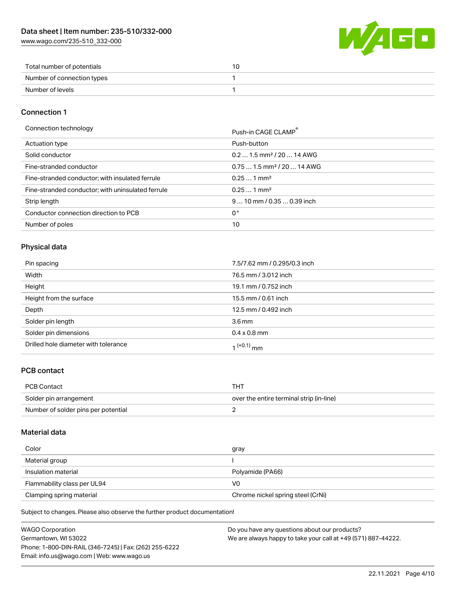[www.wago.com/235-510\\_332-000](http://www.wago.com/235-510_332-000)



| Total number of potentials |  |
|----------------------------|--|
| Number of connection types |  |
| Number of levels           |  |

### Connection 1

Connection technology **Push-in CAGE CLAMP<sup>®</sup>** 

|                                                   | PUSN-IN CAGE CLAMP                     |
|---------------------------------------------------|----------------------------------------|
| Actuation type                                    | Push-button                            |
| Solid conductor                                   | $0.21.5$ mm <sup>2</sup> / 20  14 AWG  |
| Fine-stranded conductor                           | $0.751.5$ mm <sup>2</sup> / 20  14 AWG |
| Fine-stranded conductor; with insulated ferrule   | $0.251$ mm <sup>2</sup>                |
| Fine-stranded conductor; with uninsulated ferrule | $0.251$ mm <sup>2</sup>                |
| Strip length                                      | $910$ mm / 0.35  0.39 inch             |
| Conductor connection direction to PCB             | 0°                                     |
| Number of poles                                   | 10                                     |

### Physical data

| Pin spacing                          | 7.5/7.62 mm / 0.295/0.3 inch |
|--------------------------------------|------------------------------|
| Width                                | 76.5 mm / 3.012 inch         |
| Height                               | 19.1 mm / 0.752 inch         |
| Height from the surface              | 15.5 mm / 0.61 inch          |
| Depth                                | 12.5 mm / 0.492 inch         |
| Solder pin length                    | 3.6 <sub>mm</sub>            |
| Solder pin dimensions                | $0.4 \times 0.8$ mm          |
| Drilled hole diameter with tolerance | $1^{(+0.1)}$ mm              |

## PCB contact

| PCB Contact                         | тнт                                      |
|-------------------------------------|------------------------------------------|
| Solder pin arrangement              | over the entire terminal strip (in-line) |
| Number of solder pins per potential |                                          |

### Material data

| Color                       | gray                              |
|-----------------------------|-----------------------------------|
| Material group              |                                   |
| Insulation material         | Polyamide (PA66)                  |
| Flammability class per UL94 | V0                                |
| Clamping spring material    | Chrome nickel spring steel (CrNi) |

Subject to changes. Please also observe the further product documentation!

| <b>WAGO Corporation</b>                                | Do you have any questions about our products?                 |
|--------------------------------------------------------|---------------------------------------------------------------|
| Germantown, WI 53022                                   | We are always happy to take your call at +49 (571) 887-44222. |
| Phone: 1-800-DIN-RAIL (346-7245)   Fax: (262) 255-6222 |                                                               |
| Email: info.us@wago.com   Web: www.wago.us             |                                                               |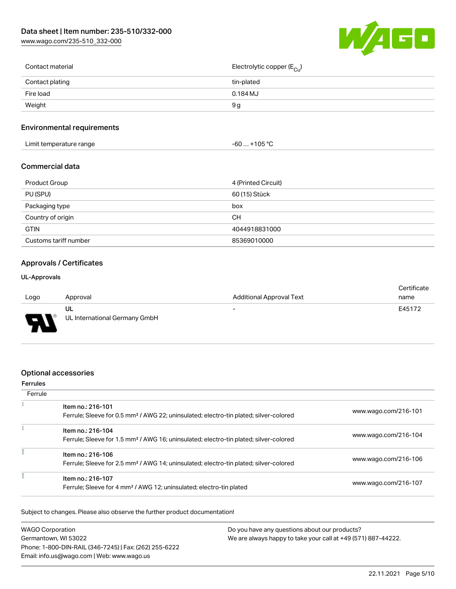[www.wago.com/235-510\\_332-000](http://www.wago.com/235-510_332-000)



| Contact material | Electrolytic copper ( $E_{\text{Cu}}$ ) |
|------------------|-----------------------------------------|
| Contact plating  | tin-plated                              |
| Fire load        | $0.184$ MJ                              |
| Weight           | 9 g                                     |
|                  |                                         |

### Environmental requirements

| Limit temperature range | +105 °C<br>-60 … |  |
|-------------------------|------------------|--|
|-------------------------|------------------|--|

#### Commercial data

| Product Group         | 4 (Printed Circuit) |
|-----------------------|---------------------|
| PU (SPU)              | 60 (15) Stück       |
| Packaging type        | box                 |
| Country of origin     | <b>CH</b>           |
| <b>GTIN</b>           | 4044918831000       |
| Customs tariff number | 85369010000         |

### Approvals / Certificates

#### UL-Approvals

|      |                               |                          | Certificate |
|------|-------------------------------|--------------------------|-------------|
| Logo | Approval                      | Additional Approval Text | name        |
|      | UL                            | $\overline{\phantom{0}}$ | E45172      |
| Б    | UL International Germany GmbH |                          |             |

#### Optional accessories

#### Ferrules **Ferrule**  $\overline{z}$ Item no.: 216-101 Ferrule; Sleeve for 0.5 mm² / AWG 22; uninsulated; electro-tin plated; silver-colored [www.wago.com/216-101](http://www.wago.com/216-101)  $\tilde{\Sigma}$ Item no.: 216-104 Ferrule; Sleeve for 1.5 mm² / AWG 16; uninsulated; electro-tin plated; silver-colored [www.wago.com/216-104](http://www.wago.com/216-104) ī Item no.: 216-106 Ferrule; Sleeve for 2.5 mm² / AWG 14; uninsulated; electro-tin plated; silver-colored [www.wago.com/216-106](http://www.wago.com/216-106) ī Item no.: 216-107 Ferrule; Sleeve for 4 mm² / AWG 12; uninsulated; electro-tin plated [www.wago.com/216-107](http://www.wago.com/216-107)

Subject to changes. Please also observe the further product documentation!

| <b>WAGO Corporation</b>                                | Do you have any questions about our products?                 |
|--------------------------------------------------------|---------------------------------------------------------------|
| Germantown, WI 53022                                   | We are always happy to take your call at +49 (571) 887-44222. |
| Phone: 1-800-DIN-RAIL (346-7245)   Fax: (262) 255-6222 |                                                               |
| Email: info.us@wago.com   Web: www.wago.us             |                                                               |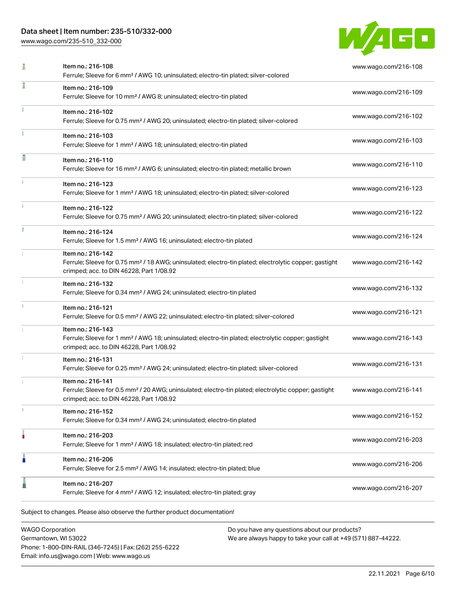[www.wago.com/235-510\\_332-000](http://www.wago.com/235-510_332-000)



| I | Item no.: 216-108<br>Ferrule; Sleeve for 6 mm <sup>2</sup> / AWG 10; uninsulated; electro-tin plated; silver-colored                                                               | www.wago.com/216-108 |
|---|------------------------------------------------------------------------------------------------------------------------------------------------------------------------------------|----------------------|
| I | Item no.: 216-109<br>Ferrule; Sleeve for 10 mm <sup>2</sup> / AWG 8; uninsulated; electro-tin plated                                                                               | www.wago.com/216-109 |
|   | Item no.: 216-102<br>Ferrule; Sleeve for 0.75 mm <sup>2</sup> / AWG 20; uninsulated; electro-tin plated; silver-colored                                                            | www.wago.com/216-102 |
|   | Item no.: 216-103<br>Ferrule; Sleeve for 1 mm <sup>2</sup> / AWG 18; uninsulated; electro-tin plated                                                                               | www.wago.com/216-103 |
| Π | Item no.: 216-110<br>Ferrule; Sleeve for 16 mm <sup>2</sup> / AWG 6; uninsulated; electro-tin plated; metallic brown                                                               | www.wago.com/216-110 |
|   | Item no.: 216-123<br>Ferrule; Sleeve for 1 mm <sup>2</sup> / AWG 18; uninsulated; electro-tin plated; silver-colored                                                               | www.wago.com/216-123 |
|   | Item no.: 216-122<br>Ferrule; Sleeve for 0.75 mm <sup>2</sup> / AWG 20; uninsulated; electro-tin plated; silver-colored                                                            | www.wago.com/216-122 |
|   | Item no.: 216-124<br>Ferrule; Sleeve for 1.5 mm <sup>2</sup> / AWG 16; uninsulated; electro-tin plated                                                                             | www.wago.com/216-124 |
|   | Item no.: 216-142<br>Ferrule; Sleeve for 0.75 mm <sup>2</sup> / 18 AWG; uninsulated; electro-tin plated; electrolytic copper; gastight<br>crimped; acc. to DIN 46228, Part 1/08.92 | www.wago.com/216-142 |
|   | Item no.: 216-132<br>Ferrule; Sleeve for 0.34 mm <sup>2</sup> / AWG 24; uninsulated; electro-tin plated                                                                            | www.wago.com/216-132 |
|   | Item no.: 216-121<br>Ferrule; Sleeve for 0.5 mm <sup>2</sup> / AWG 22; uninsulated; electro-tin plated; silver-colored                                                             | www.wago.com/216-121 |
|   | Item no.: 216-143<br>Ferrule; Sleeve for 1 mm <sup>2</sup> / AWG 18; uninsulated; electro-tin plated; electrolytic copper; gastight<br>crimped; acc. to DIN 46228, Part 1/08.92    | www.wago.com/216-143 |
|   | Item no.: 216-131<br>Ferrule; Sleeve for 0.25 mm <sup>2</sup> / AWG 24; uninsulated; electro-tin plated; silver-colored                                                            | www.wago.com/216-131 |
|   | Item no.: 216-141<br>Ferrule; Sleeve for 0.5 mm <sup>2</sup> / 20 AWG; uninsulated; electro-tin plated; electrolytic copper; gastight<br>crimped; acc. to DIN 46228, Part 1/08.92  | www.wago.com/216-141 |
|   | Item no.: 216-152<br>Ferrule; Sleeve for 0.34 mm <sup>2</sup> / AWG 24; uninsulated; electro-tin plated                                                                            | www.wago.com/216-152 |
|   | Item no.: 216-203<br>Ferrule; Sleeve for 1 mm <sup>2</sup> / AWG 18; insulated; electro-tin plated; red                                                                            | www.wago.com/216-203 |
| I | Item no.: 216-206<br>Ferrule; Sleeve for 2.5 mm <sup>2</sup> / AWG 14; insulated; electro-tin plated; blue                                                                         | www.wago.com/216-206 |
|   | Item no.: 216-207<br>Ferrule; Sleeve for 4 mm <sup>2</sup> / AWG 12; insulated; electro-tin plated; gray                                                                           | www.wago.com/216-207 |

WAGO Corporation Germantown, WI 53022 Phone: 1-800-DIN-RAIL (346-7245) | Fax: (262) 255-6222 Email: info.us@wago.com | Web: www.wago.us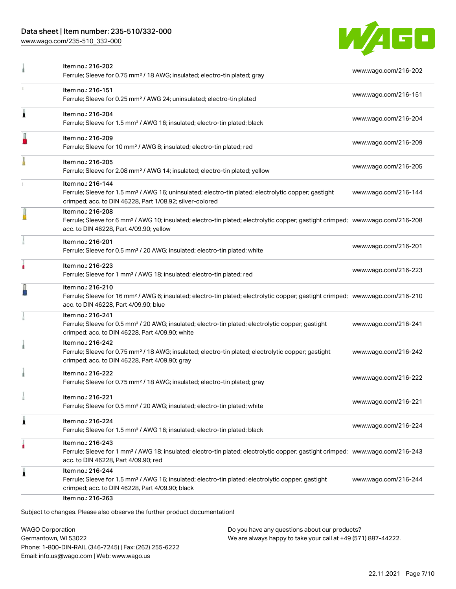[www.wago.com/235-510\\_332-000](http://www.wago.com/235-510_332-000)



| Item no.: 216-202<br>Ferrule; Sleeve for 0.75 mm <sup>2</sup> / 18 AWG; insulated; electro-tin plated; gray                                                                                                | www.wago.com/216-202 |
|------------------------------------------------------------------------------------------------------------------------------------------------------------------------------------------------------------|----------------------|
| Item no.: 216-151<br>Ferrule; Sleeve for 0.25 mm <sup>2</sup> / AWG 24; uninsulated; electro-tin plated                                                                                                    | www.wago.com/216-151 |
| Item no.: 216-204<br>Ferrule; Sleeve for 1.5 mm <sup>2</sup> / AWG 16; insulated; electro-tin plated; black                                                                                                | www.wago.com/216-204 |
| Item no.: 216-209<br>Ferrule; Sleeve for 10 mm <sup>2</sup> / AWG 8; insulated; electro-tin plated; red                                                                                                    | www.wago.com/216-209 |
| Item no.: 216-205<br>Ferrule; Sleeve for 2.08 mm <sup>2</sup> / AWG 14; insulated; electro-tin plated; yellow                                                                                              | www.wago.com/216-205 |
| Item no.: 216-144<br>Ferrule; Sleeve for 1.5 mm <sup>2</sup> / AWG 16; uninsulated; electro-tin plated; electrolytic copper; gastight<br>crimped; acc. to DIN 46228, Part 1/08.92; silver-colored          | www.wago.com/216-144 |
| Item no.: 216-208<br>Ferrule; Sleeve for 6 mm <sup>2</sup> / AWG 10; insulated; electro-tin plated; electrolytic copper; gastight crimped; www.wago.com/216-208<br>acc. to DIN 46228, Part 4/09.90; yellow |                      |
| Item no.: 216-201<br>Ferrule; Sleeve for 0.5 mm <sup>2</sup> / 20 AWG; insulated; electro-tin plated; white                                                                                                | www.wago.com/216-201 |
| Item no.: 216-223<br>Ferrule; Sleeve for 1 mm <sup>2</sup> / AWG 18; insulated; electro-tin plated; red                                                                                                    | www.wago.com/216-223 |
| Item no.: 216-210<br>Ferrule; Sleeve for 16 mm <sup>2</sup> / AWG 6; insulated; electro-tin plated; electrolytic copper; gastight crimped; www.wago.com/216-210<br>acc. to DIN 46228, Part 4/09.90; blue   |                      |
| Item no.: 216-241<br>Ferrule; Sleeve for 0.5 mm <sup>2</sup> / 20 AWG; insulated; electro-tin plated; electrolytic copper; gastight<br>crimped; acc. to DIN 46228, Part 4/09.90; white                     | www.wago.com/216-241 |
| Item no.: 216-242<br>Ferrule; Sleeve for 0.75 mm <sup>2</sup> / 18 AWG; insulated; electro-tin plated; electrolytic copper; gastight<br>crimped; acc. to DIN 46228, Part 4/09.90; gray                     | www.wago.com/216-242 |
| Item no.: 216-222<br>Ferrule; Sleeve for 0.75 mm <sup>2</sup> / 18 AWG; insulated; electro-tin plated; gray                                                                                                | www.wago.com/216-222 |
| Item no.: 216-221<br>Ferrule; Sleeve for 0.5 mm <sup>2</sup> / 20 AWG; insulated; electro-tin plated; white                                                                                                | www.wago.com/216-221 |
| Item no.: 216-224<br>Ferrule; Sleeve for 1.5 mm <sup>2</sup> / AWG 16; insulated; electro-tin plated; black                                                                                                | www.wago.com/216-224 |
| Item no.: 216-243<br>Ferrule; Sleeve for 1 mm <sup>2</sup> / AWG 18; insulated; electro-tin plated; electrolytic copper; gastight crimped; www.wago.com/216-243<br>acc. to DIN 46228, Part 4/09.90; red    |                      |
| Item no.: 216-244<br>Ferrule; Sleeve for 1.5 mm <sup>2</sup> / AWG 16; insulated; electro-tin plated; electrolytic copper; gastight<br>crimped; acc. to DIN 46228, Part 4/09.90; black                     | www.wago.com/216-244 |
|                                                                                                                                                                                                            |                      |

WAGO Corporation Germantown, WI 53022 Phone: 1-800-DIN-RAIL (346-7245) | Fax: (262) 255-6222 Email: info.us@wago.com | Web: www.wago.us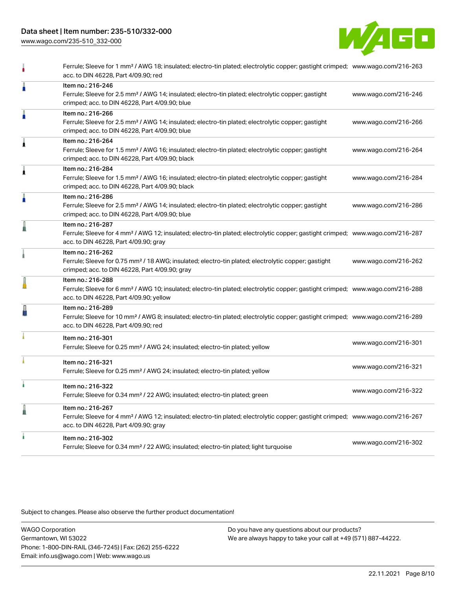[www.wago.com/235-510\\_332-000](http://www.wago.com/235-510_332-000)



|   | Ferrule; Sleeve for 1 mm <sup>2</sup> / AWG 18; insulated; electro-tin plated; electrolytic copper; gastight crimped; www.wago.com/216-263<br>acc. to DIN 46228, Part 4/09.90; red                         |                      |
|---|------------------------------------------------------------------------------------------------------------------------------------------------------------------------------------------------------------|----------------------|
| Å | Item no.: 216-246<br>Ferrule; Sleeve for 2.5 mm <sup>2</sup> / AWG 14; insulated; electro-tin plated; electrolytic copper; gastight<br>crimped; acc. to DIN 46228, Part 4/09.90; blue                      | www.wago.com/216-246 |
| Å | Item no.: 216-266<br>Ferrule; Sleeve for 2.5 mm <sup>2</sup> / AWG 14; insulated; electro-tin plated; electrolytic copper; gastight<br>crimped; acc. to DIN 46228, Part 4/09.90; blue                      | www.wago.com/216-266 |
| Â | Item no.: 216-264<br>Ferrule; Sleeve for 1.5 mm <sup>2</sup> / AWG 16; insulated; electro-tin plated; electrolytic copper; gastight<br>crimped; acc. to DIN 46228, Part 4/09.90; black                     | www.wago.com/216-264 |
| Â | Item no.: 216-284<br>Ferrule; Sleeve for 1.5 mm <sup>2</sup> / AWG 16; insulated; electro-tin plated; electrolytic copper; gastight<br>crimped; acc. to DIN 46228, Part 4/09.90; black                     | www.wago.com/216-284 |
| I | Item no.: 216-286<br>Ferrule; Sleeve for 2.5 mm <sup>2</sup> / AWG 14; insulated; electro-tin plated; electrolytic copper; gastight<br>crimped; acc. to DIN 46228, Part 4/09.90; blue                      | www.wago.com/216-286 |
| I | Item no.: 216-287<br>Ferrule; Sleeve for 4 mm <sup>2</sup> / AWG 12; insulated; electro-tin plated; electrolytic copper; gastight crimped; www.wago.com/216-287<br>acc. to DIN 46228, Part 4/09.90; gray   |                      |
|   | Item no.: 216-262<br>Ferrule; Sleeve for 0.75 mm <sup>2</sup> / 18 AWG; insulated; electro-tin plated; electrolytic copper; gastight<br>crimped; acc. to DIN 46228, Part 4/09.90; gray                     | www.wago.com/216-262 |
|   | Item no.: 216-288<br>Ferrule; Sleeve for 6 mm <sup>2</sup> / AWG 10; insulated; electro-tin plated; electrolytic copper; gastight crimped; www.wago.com/216-288<br>acc. to DIN 46228, Part 4/09.90; yellow |                      |
| ł | Item no.: 216-289<br>Ferrule; Sleeve for 10 mm <sup>2</sup> / AWG 8; insulated; electro-tin plated; electrolytic copper; gastight crimped; www.wago.com/216-289<br>acc. to DIN 46228, Part 4/09.90; red    |                      |
|   | Item no.: 216-301<br>Ferrule; Sleeve for 0.25 mm <sup>2</sup> / AWG 24; insulated; electro-tin plated; yellow                                                                                              | www.wago.com/216-301 |
|   | Item no.: 216-321<br>Ferrule; Sleeve for 0.25 mm <sup>2</sup> / AWG 24; insulated; electro-tin plated; yellow                                                                                              | www.wago.com/216-321 |
|   | Item no.: 216-322<br>Ferrule; Sleeve for 0.34 mm <sup>2</sup> / 22 AWG; insulated; electro-tin plated; green                                                                                               | www.wago.com/216-322 |
| l | Item no.: 216-267<br>Ferrule; Sleeve for 4 mm <sup>2</sup> / AWG 12; insulated; electro-tin plated; electrolytic copper; gastight crimped; www.wago.com/216-267<br>acc. to DIN 46228, Part 4/09.90; gray   |                      |
|   | Item no.: 216-302<br>Ferrule; Sleeve for 0.34 mm <sup>2</sup> / 22 AWG; insulated; electro-tin plated; light turquoise                                                                                     | www.wago.com/216-302 |
|   |                                                                                                                                                                                                            |                      |

Subject to changes. Please also observe the further product documentation!

WAGO Corporation Germantown, WI 53022 Phone: 1-800-DIN-RAIL (346-7245) | Fax: (262) 255-6222 Email: info.us@wago.com | Web: www.wago.us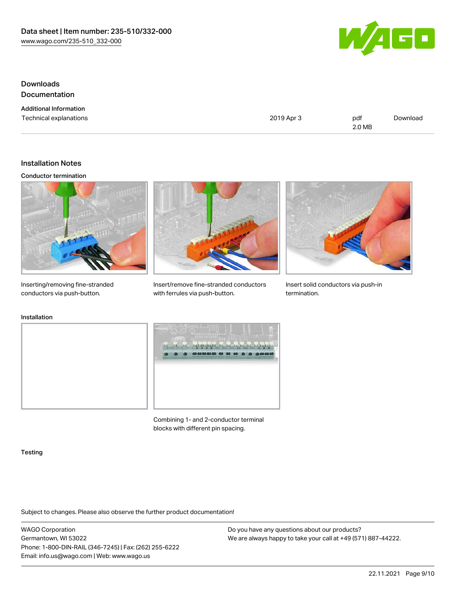

# Downloads **Documentation**

| <b>Additional Information</b> |  |
|-------------------------------|--|
| Technical explanations        |  |

2019 Apr 3 pdf 2.0 MB [Download](https://www.wago.com/global/d/1435602)

## Installation Notes

### Conductor termination



Inserting/removing fine-stranded conductors via push-button.



Insert/remove fine-stranded conductors with ferrules via push-button.



Insert solid conductors via push-in termination.

## Installation





Combining 1- and 2-conductor terminal blocks with different pin spacing.

#### **Testing**

Subject to changes. Please also observe the further product documentation!

WAGO Corporation Germantown, WI 53022 Phone: 1-800-DIN-RAIL (346-7245) | Fax: (262) 255-6222 Email: info.us@wago.com | Web: www.wago.us